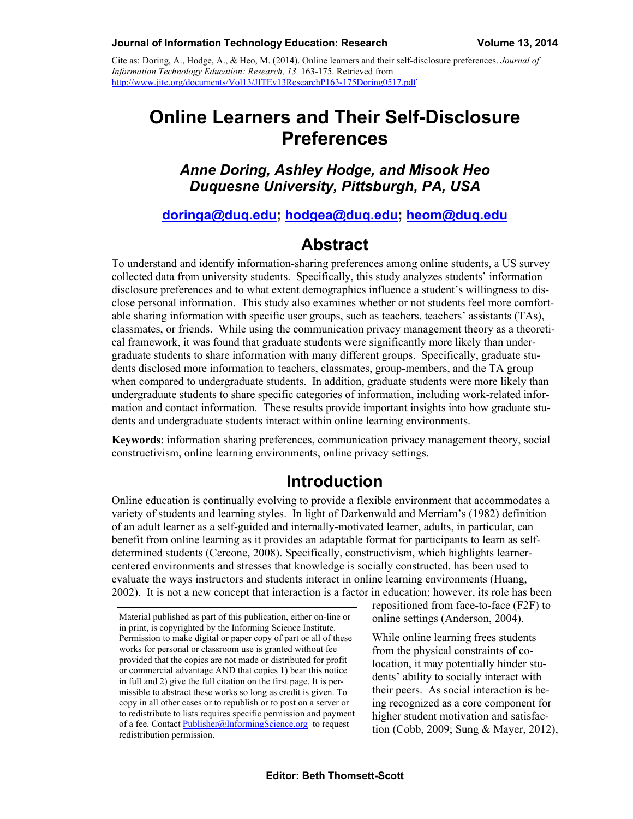Cite as: Doring, A., Hodge, A., & Heo, M. (2014). Online learners and their self-disclosure preferences. *Journal of Information Technology Education: Research, 13,* 163-175. Retrieved from http://www.jite.org/documents/Vol13/JITEv13ResearchP163-175Doring0517.pdf

# **Online Learners and Their Self-Disclosure Preferences**

#### *Anne Doring, Ashley Hodge, and Misook Heo Duquesne University, Pittsburgh, PA, USA*

#### **[doringa@duq.edu;](mailto:doringa@duq.edu) [hodgea@duq.edu](mailto:hodgea@duq.edu); [heom@duq.edu](mailto:heom@duq.edu)**

#### **Abstract**

To understand and identify information-sharing preferences among online students, a US survey collected data from university students. Specifically, this study analyzes students' information disclosure preferences and to what extent demographics influence a student's willingness to disclose personal information. This study also examines whether or not students feel more comfortable sharing information with specific user groups, such as teachers, teachers' assistants (TAs), classmates, or friends. While using the communication privacy management theory as a theoretical framework, it was found that graduate students were significantly more likely than undergraduate students to share information with many different groups. Specifically, graduate students disclosed more information to teachers, classmates, group-members, and the TA group when compared to undergraduate students. In addition, graduate students were more likely than undergraduate students to share specific categories of information, including work-related information and contact information. These results provide important insights into how graduate students and undergraduate students interact within online learning environments.

**Keywords**: information sharing preferences, communication privacy management theory, social constructivism, online learning environments, online privacy settings.

## **Introduction**

Online education is continually evolving to provide a flexible environment that accommodates a variety of students and learning styles. In light of Darkenwald and Merriam's (1982) definition of an adult learner as a self-guided and internally-motivated learner, adults, in particular, can benefit from online learning as it provides an adaptable format for participants to learn as selfdetermined students (Cercone, 2008). Specifically, constructivism, which highlights learnercentered environments and stresses that knowledge is socially constructed, has been used to evaluate the ways instructors and students interact in online learning environments (Huang, 2002). It is not a new concept that interaction is a factor in education; however, its role has been

repositioned from face-to-face (F2F) to online settings (Anderson, 2004).

While online learning frees students from the physical constraints of colocation, it may potentially hinder students' ability to socially interact with their peers. As social interaction is being recognized as a core component for higher student motivation and satisfaction (Cobb, 2009; Sung & Mayer, 2012),

Material published as part of this publication, either on-line or in print, is copyrighted by the Informing Science Institute. Permission to make digital or paper copy of part or all of these works for personal or classroom use is granted without fee provided that the copies are not made or distributed for profit or commercial advantage AND that copies 1) bear this notice in full and 2) give the full citation on the first page. It is permissible to abstract these works so long as credit is given. To copy in all other cases or to republish or to post on a server or to redistribute to lists requires specific permission and payment of a fee. Contact [Publisher@InformingScience.org](mailto:Publisher@InformingScience.org) to request redistribution permission.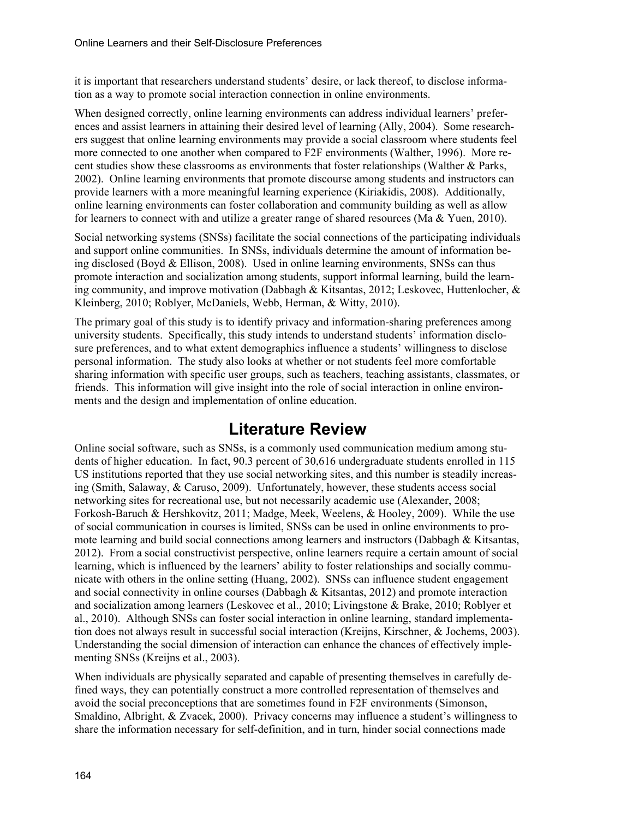it is important that researchers understand students' desire, or lack thereof, to disclose information as a way to promote social interaction connection in online environments.

When designed correctly, online learning environments can address individual learners' preferences and assist learners in attaining their desired level of learning (Ally, 2004). Some researchers suggest that online learning environments may provide a social classroom where students feel more connected to one another when compared to F2F environments (Walther, 1996). More recent studies show these classrooms as environments that foster relationships (Walther & Parks, 2002). Online learning environments that promote discourse among students and instructors can provide learners with a more meaningful learning experience (Kiriakidis, 2008). Additionally, online learning environments can foster collaboration and community building as well as allow for learners to connect with and utilize a greater range of shared resources (Ma & Yuen, 2010).

Social networking systems (SNSs) facilitate the social connections of the participating individuals and support online communities. In SNSs, individuals determine the amount of information being disclosed (Boyd & Ellison, 2008). Used in online learning environments, SNSs can thus promote interaction and socialization among students, support informal learning, build the learning community, and improve motivation (Dabbagh & Kitsantas, 2012; Leskovec, Huttenlocher, & Kleinberg, 2010; Roblyer, McDaniels, Webb, Herman, & Witty, 2010).

The primary goal of this study is to identify privacy and information-sharing preferences among university students. Specifically, this study intends to understand students' information disclosure preferences, and to what extent demographics influence a students' willingness to disclose personal information. The study also looks at whether or not students feel more comfortable sharing information with specific user groups, such as teachers, teaching assistants, classmates, or friends. This information will give insight into the role of social interaction in online environments and the design and implementation of online education.

## **Literature Review**

Online social software, such as SNSs, is a commonly used communication medium among students of higher education. In fact, 90.3 percent of 30,616 undergraduate students enrolled in 115 US institutions reported that they use social networking sites, and this number is steadily increasing (Smith, Salaway, & Caruso, 2009). Unfortunately, however, these students access social networking sites for recreational use, but not necessarily academic use (Alexander, 2008; Forkosh-Baruch & Hershkovitz, 2011; Madge, Meek, Weelens, & Hooley, 2009). While the use of social communication in courses is limited, SNSs can be used in online environments to promote learning and build social connections among learners and instructors (Dabbagh & Kitsantas, 2012). From a social constructivist perspective, online learners require a certain amount of social learning, which is influenced by the learners' ability to foster relationships and socially communicate with others in the online setting (Huang, 2002). SNSs can influence student engagement and social connectivity in online courses (Dabbagh  $\&$  Kitsantas, 2012) and promote interaction and socialization among learners (Leskovec et al., 2010; Livingstone & Brake, 2010; Roblyer et al., 2010). Although SNSs can foster social interaction in online learning, standard implementation does not always result in successful social interaction (Kreijns, Kirschner, & Jochems, 2003). Understanding the social dimension of interaction can enhance the chances of effectively implementing SNSs (Kreijns et al., 2003).

When individuals are physically separated and capable of presenting themselves in carefully defined ways, they can potentially construct a more controlled representation of themselves and avoid the social preconceptions that are sometimes found in F2F environments (Simonson, Smaldino, Albright, & Zvacek, 2000). Privacy concerns may influence a student's willingness to share the information necessary for self-definition, and in turn, hinder social connections made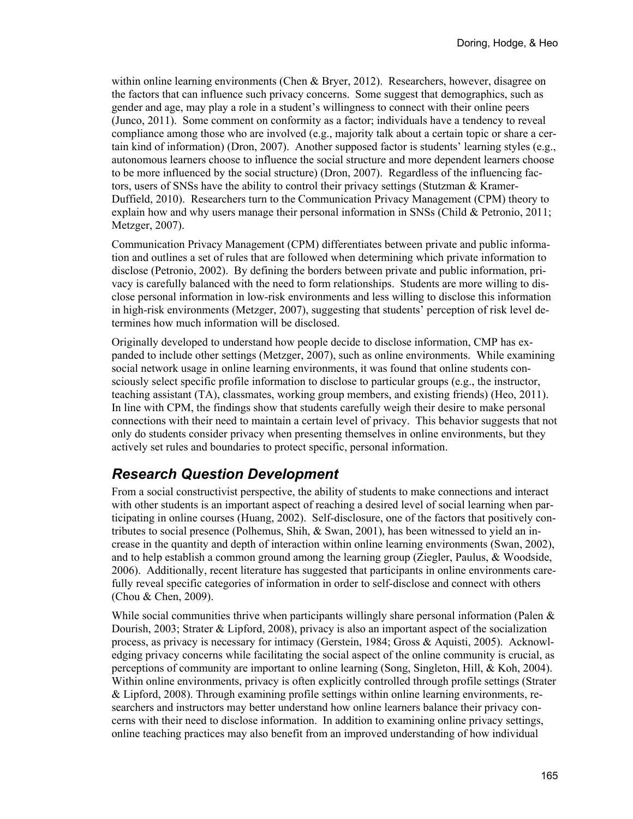within online learning environments (Chen & Bryer, 2012). Researchers, however, disagree on the factors that can influence such privacy concerns. Some suggest that demographics, such as gender and age, may play a role in a student's willingness to connect with their online peers (Junco, 2011). Some comment on conformity as a factor; individuals have a tendency to reveal compliance among those who are involved (e.g., majority talk about a certain topic or share a certain kind of information) (Dron, 2007). Another supposed factor is students' learning styles (e.g., autonomous learners choose to influence the social structure and more dependent learners choose to be more influenced by the social structure) (Dron, 2007). Regardless of the influencing factors, users of SNSs have the ability to control their privacy settings (Stutzman & Kramer-Duffield, 2010). Researchers turn to the Communication Privacy Management (CPM) theory to explain how and why users manage their personal information in SNSs (Child & Petronio, 2011; Metzger, 2007).

Communication Privacy Management (CPM) differentiates between private and public information and outlines a set of rules that are followed when determining which private information to disclose (Petronio, 2002). By defining the borders between private and public information, privacy is carefully balanced with the need to form relationships. Students are more willing to disclose personal information in low-risk environments and less willing to disclose this information in high-risk environments (Metzger, 2007), suggesting that students' perception of risk level determines how much information will be disclosed.

Originally developed to understand how people decide to disclose information, CMP has expanded to include other settings (Metzger, 2007), such as online environments. While examining social network usage in online learning environments, it was found that online students consciously select specific profile information to disclose to particular groups (e.g., the instructor, teaching assistant (TA), classmates, working group members, and existing friends) (Heo, 2011). In line with CPM, the findings show that students carefully weigh their desire to make personal connections with their need to maintain a certain level of privacy. This behavior suggests that not only do students consider privacy when presenting themselves in online environments, but they actively set rules and boundaries to protect specific, personal information.

#### *Research Question Development*

From a social constructivist perspective, the ability of students to make connections and interact with other students is an important aspect of reaching a desired level of social learning when participating in online courses (Huang, 2002). Self-disclosure, one of the factors that positively contributes to social presence (Polhemus, Shih,  $\&$  Swan, 2001), has been witnessed to yield an increase in the quantity and depth of interaction within online learning environments (Swan, 2002), and to help establish a common ground among the learning group (Ziegler, Paulus, & Woodside, 2006). Additionally, recent literature has suggested that participants in online environments carefully reveal specific categories of information in order to self-disclose and connect with others (Chou & Chen, 2009).

While social communities thrive when participants willingly share personal information (Palen  $\&$ Dourish, 2003; Strater & Lipford, 2008), privacy is also an important aspect of the socialization process, as privacy is necessary for intimacy (Gerstein, 1984; Gross & Aquisti, 2005). Acknowledging privacy concerns while facilitating the social aspect of the online community is crucial, as perceptions of community are important to online learning (Song, Singleton, Hill, & Koh, 2004). Within online environments, privacy is often explicitly controlled through profile settings (Strater & Lipford, 2008). Through examining profile settings within online learning environments, researchers and instructors may better understand how online learners balance their privacy concerns with their need to disclose information. In addition to examining online privacy settings, online teaching practices may also benefit from an improved understanding of how individual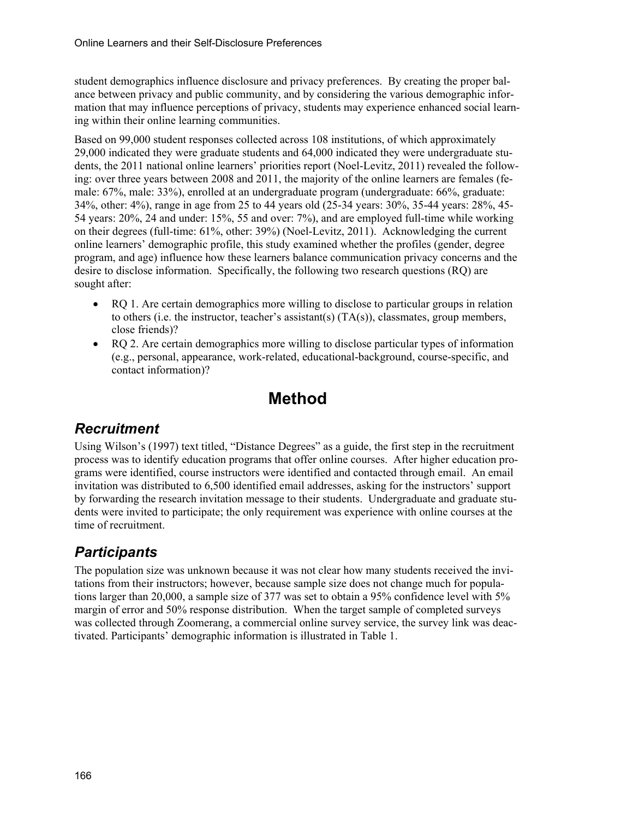student demographics influence disclosure and privacy preferences. By creating the proper balance between privacy and public community, and by considering the various demographic information that may influence perceptions of privacy, students may experience enhanced social learning within their online learning communities.

Based on 99,000 student responses collected across 108 institutions, of which approximately 29,000 indicated they were graduate students and 64,000 indicated they were undergraduate students, the 2011 national online learners' priorities report (Noel-Levitz, 2011) revealed the following: over three years between 2008 and 2011, the majority of the online learners are females (female: 67%, male: 33%), enrolled at an undergraduate program (undergraduate: 66%, graduate: 34%, other: 4%), range in age from 25 to 44 years old (25-34 years: 30%, 35-44 years: 28%, 45- 54 years: 20%, 24 and under: 15%, 55 and over: 7%), and are employed full-time while working on their degrees (full-time: 61%, other: 39%) (Noel-Levitz, 2011). Acknowledging the current online learners' demographic profile, this study examined whether the profiles (gender, degree program, and age) influence how these learners balance communication privacy concerns and the desire to disclose information. Specifically, the following two research questions (RQ) are sought after:

- RQ 1. Are certain demographics more willing to disclose to particular groups in relation to others (i.e. the instructor, teacher's assistant(s)  $(TA(s))$ , classmates, group members, close friends)?
- RQ 2. Are certain demographics more willing to disclose particular types of information (e.g., personal, appearance, work-related, educational-background, course-specific, and contact information)?

# **Method**

#### *Recruitment*

Using Wilson's (1997) text titled, "Distance Degrees" as a guide, the first step in the recruitment process was to identify education programs that offer online courses. After higher education programs were identified, course instructors were identified and contacted through email. An email invitation was distributed to 6,500 identified email addresses, asking for the instructors' support by forwarding the research invitation message to their students. Undergraduate and graduate students were invited to participate; the only requirement was experience with online courses at the time of recruitment.

## *Participants*

The population size was unknown because it was not clear how many students received the invitations from their instructors; however, because sample size does not change much for populations larger than 20,000, a sample size of 377 was set to obtain a 95% confidence level with 5% margin of error and 50% response distribution. When the target sample of completed surveys was collected through Zoomerang, a commercial online survey service, the survey link was deactivated. Participants' demographic information is illustrated in Table 1.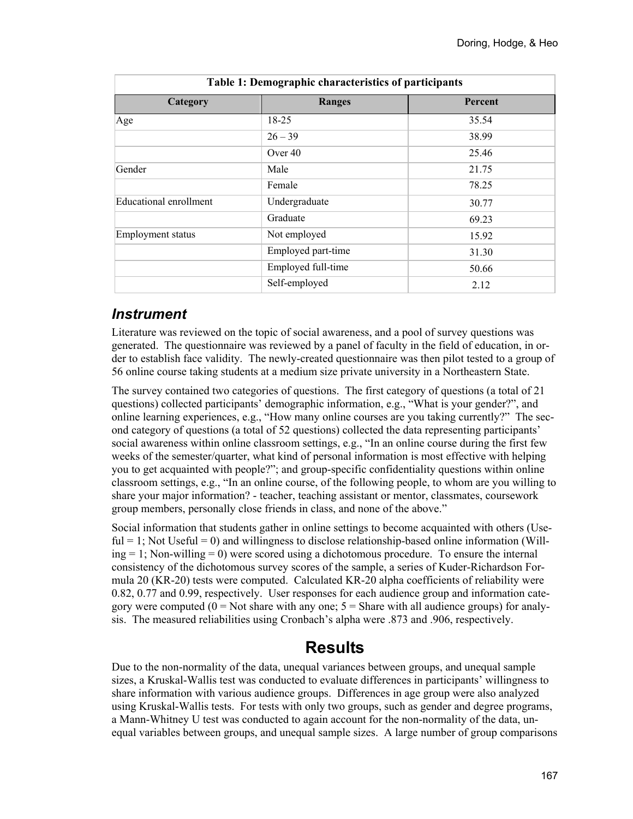٦

| Category                      | <b>Ranges</b>      | Percent |  |  |  |
|-------------------------------|--------------------|---------|--|--|--|
| Age                           | $18 - 25$          | 35.54   |  |  |  |
|                               | $26 - 39$          | 38.99   |  |  |  |
|                               | Over 40            | 25.46   |  |  |  |
| Gender                        | Male               | 21.75   |  |  |  |
|                               | Female             | 78.25   |  |  |  |
| <b>Educational enrollment</b> | Undergraduate      | 30.77   |  |  |  |
|                               | Graduate           | 69.23   |  |  |  |
| <b>Employment status</b>      | Not employed       | 15.92   |  |  |  |
|                               | Employed part-time | 31.30   |  |  |  |
|                               | Employed full-time | 50.66   |  |  |  |
|                               | Self-employed      | 2.12    |  |  |  |

**Table 1: Demographic characteristics of participants** 

#### *Instrument*

 $\overline{\phantom{a}}$ 

Literature was reviewed on the topic of social awareness, and a pool of survey questions was generated. The questionnaire was reviewed by a panel of faculty in the field of education, in order to establish face validity. The newly-created questionnaire was then pilot tested to a group of 56 online course taking students at a medium size private university in a Northeastern State.

The survey contained two categories of questions. The first category of questions (a total of 21 questions) collected participants' demographic information, e.g., "What is your gender?", and online learning experiences, e.g., "How many online courses are you taking currently?" The second category of questions (a total of 52 questions) collected the data representing participants' social awareness within online classroom settings, e.g., "In an online course during the first few weeks of the semester/quarter, what kind of personal information is most effective with helping you to get acquainted with people?"; and group-specific confidentiality questions within online classroom settings, e.g., "In an online course, of the following people, to whom are you willing to share your major information? - teacher, teaching assistant or mentor, classmates, coursework group members, personally close friends in class, and none of the above."

Social information that students gather in online settings to become acquainted with others (Use $ful = 1$ ; Not Useful = 0) and willingness to disclose relationship-based online information (Will $ing = 1$ ; Non-willing = 0) were scored using a dichotomous procedure. To ensure the internal consistency of the dichotomous survey scores of the sample, a series of Kuder-Richardson Formula 20 (KR-20) tests were computed. Calculated KR-20 alpha coefficients of reliability were 0.82, 0.77 and 0.99, respectively. User responses for each audience group and information category were computed  $(0 = Not share with any one; 5 = Share with all audience groups) for analy$ sis. The measured reliabilities using Cronbach's alpha were .873 and .906, respectively.

## **Results**

Due to the non-normality of the data, unequal variances between groups, and unequal sample sizes, a Kruskal-Wallis test was conducted to evaluate differences in participants' willingness to share information with various audience groups. Differences in age group were also analyzed using Kruskal-Wallis tests. For tests with only two groups, such as gender and degree programs, a Mann-Whitney U test was conducted to again account for the non-normality of the data, unequal variables between groups, and unequal sample sizes. A large number of group comparisons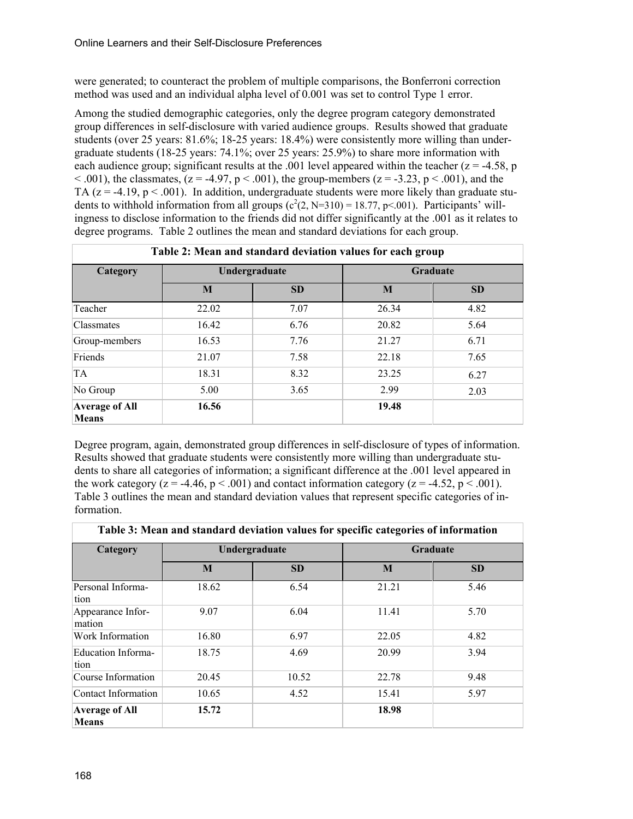were generated; to counteract the problem of multiple comparisons, the Bonferroni correction method was used and an individual alpha level of 0.001 was set to control Type 1 error.

Among the studied demographic categories, only the degree program category demonstrated group differences in self-disclosure with varied audience groups. Results showed that graduate students (over 25 years: 81.6%; 18-25 years: 18.4%) were consistently more willing than undergraduate students (18-25 years: 74.1%; over 25 years: 25.9%) to share more information with each audience group; significant results at the .001 level appeared within the teacher  $(z = -4.58, p$  $< .001$ ), the classmates, (z = -4.97, p  $< .001$ ), the group-members (z = -3.23, p  $< .001$ ), and the TA ( $z = -4.19$ ,  $p < .001$ ). In addition, undergraduate students were more likely than graduate students to withhold information from all groups  $(c^2(2, N=310) = 18.77, p<.001)$ . Participants' willingness to disclose information to the friends did not differ significantly at the .001 as it relates to degree programs. Table 2 outlines the mean and standard deviations for each group.

| Table 2: Mean and standard deviation values for each group |               |           |                 |           |  |  |
|------------------------------------------------------------|---------------|-----------|-----------------|-----------|--|--|
| Category                                                   | Undergraduate |           | <b>Graduate</b> |           |  |  |
|                                                            | M             | <b>SD</b> | M               | <b>SD</b> |  |  |
| Teacher                                                    | 22.02         | 7.07      | 26.34           | 4.82      |  |  |
| <b>Classmates</b>                                          | 16.42         | 6.76      | 20.82           | 5.64      |  |  |
| Group-members                                              | 16.53         | 7.76      | 21.27           | 6.71      |  |  |
| Friends                                                    | 21.07         | 7.58      | 22.18           | 7.65      |  |  |
| <b>TA</b>                                                  | 18.31         | 8.32      | 23.25           | 6.27      |  |  |
| No Group                                                   | 5.00          | 3.65      | 2.99            | 2.03      |  |  |
| <b>Average of All</b><br><b>Means</b>                      | 16.56         |           | 19.48           |           |  |  |

Degree program, again, demonstrated group differences in self-disclosure of types of information. Results showed that graduate students were consistently more willing than undergraduate students to share all categories of information; a significant difference at the .001 level appeared in the work category ( $z = -4.46$ ,  $p < .001$ ) and contact information category ( $z = -4.52$ ,  $p < .001$ ). Table 3 outlines the mean and standard deviation values that represent specific categories of information.

**Table 3: Mean and standard deviation values for specific categories of information** 

| Category                              | Undergraduate |           | <b>Graduate</b> |           |  |  |
|---------------------------------------|---------------|-----------|-----------------|-----------|--|--|
|                                       | M             | <b>SD</b> | M               | <b>SD</b> |  |  |
| Personal Informa-<br>tion             | 18.62         | 6.54      | 21.21           | 5.46      |  |  |
| Appearance Infor-<br>mation           | 9.07          | 6.04      | 11.41           | 5.70      |  |  |
| Work Information                      | 16.80         | 6.97      | 22.05           | 4.82      |  |  |
| Education Informa-<br>tion            | 18.75         | 4.69      | 20.99           | 3.94      |  |  |
| Course Information                    | 20.45         | 10.52     | 22.78           | 9.48      |  |  |
| Contact Information                   | 10.65         | 4.52      | 15.41           | 5.97      |  |  |
| <b>Average of All</b><br><b>Means</b> | 15.72         |           | 18.98           |           |  |  |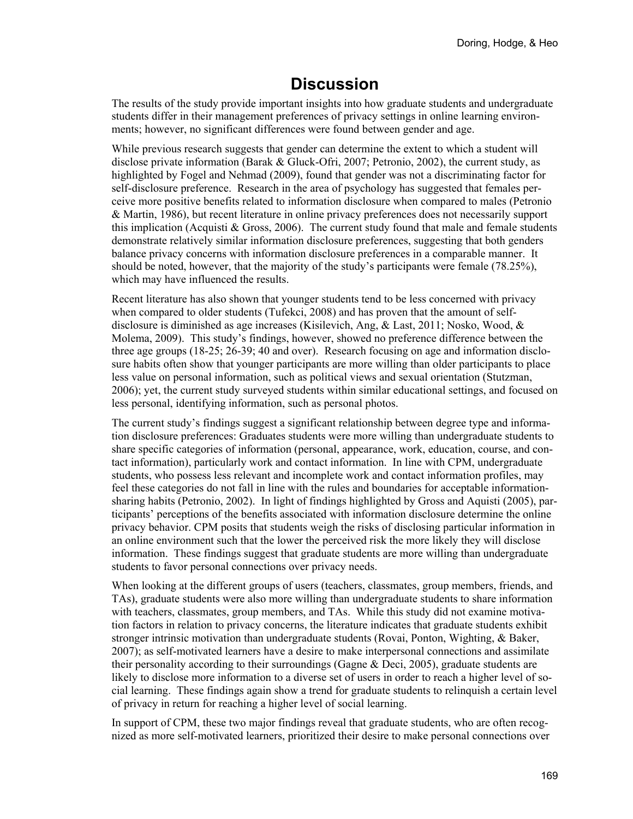# **Discussion**

The results of the study provide important insights into how graduate students and undergraduate students differ in their management preferences of privacy settings in online learning environments; however, no significant differences were found between gender and age.

While previous research suggests that gender can determine the extent to which a student will disclose private information (Barak & Gluck-Ofri, 2007; Petronio, 2002), the current study, as highlighted by Fogel and Nehmad (2009), found that gender was not a discriminating factor for self-disclosure preference. Research in the area of psychology has suggested that females perceive more positive benefits related to information disclosure when compared to males (Petronio & Martin, 1986), but recent literature in online privacy preferences does not necessarily support this implication (Acquisti  $&$  Gross, 2006). The current study found that male and female students demonstrate relatively similar information disclosure preferences, suggesting that both genders balance privacy concerns with information disclosure preferences in a comparable manner. It should be noted, however, that the majority of the study's participants were female (78.25%), which may have influenced the results.

Recent literature has also shown that younger students tend to be less concerned with privacy when compared to older students (Tufekci, 2008) and has proven that the amount of selfdisclosure is diminished as age increases (Kisilevich, Ang, & Last, 2011; Nosko, Wood, & Molema, 2009). This study's findings, however, showed no preference difference between the three age groups (18-25; 26-39; 40 and over). Research focusing on age and information disclosure habits often show that younger participants are more willing than older participants to place less value on personal information, such as political views and sexual orientation (Stutzman, 2006); yet, the current study surveyed students within similar educational settings, and focused on less personal, identifying information, such as personal photos.

The current study's findings suggest a significant relationship between degree type and information disclosure preferences: Graduates students were more willing than undergraduate students to share specific categories of information (personal, appearance, work, education, course, and contact information), particularly work and contact information. In line with CPM, undergraduate students, who possess less relevant and incomplete work and contact information profiles, may feel these categories do not fall in line with the rules and boundaries for acceptable informationsharing habits (Petronio, 2002). In light of findings highlighted by Gross and Aquisti (2005), participants' perceptions of the benefits associated with information disclosure determine the online privacy behavior. CPM posits that students weigh the risks of disclosing particular information in an online environment such that the lower the perceived risk the more likely they will disclose information. These findings suggest that graduate students are more willing than undergraduate students to favor personal connections over privacy needs.

When looking at the different groups of users (teachers, classmates, group members, friends, and TAs), graduate students were also more willing than undergraduate students to share information with teachers, classmates, group members, and TAs. While this study did not examine motivation factors in relation to privacy concerns, the literature indicates that graduate students exhibit stronger intrinsic motivation than undergraduate students (Rovai, Ponton, Wighting, & Baker, 2007); as self-motivated learners have a desire to make interpersonal connections and assimilate their personality according to their surroundings (Gagne & Deci, 2005), graduate students are likely to disclose more information to a diverse set of users in order to reach a higher level of social learning. These findings again show a trend for graduate students to relinquish a certain level of privacy in return for reaching a higher level of social learning.

In support of CPM, these two major findings reveal that graduate students, who are often recognized as more self-motivated learners, prioritized their desire to make personal connections over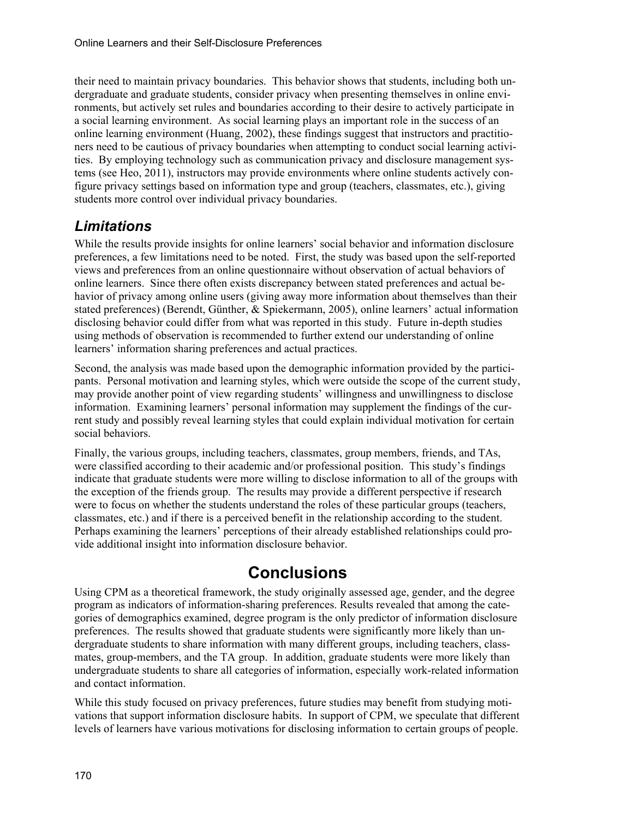their need to maintain privacy boundaries. This behavior shows that students, including both undergraduate and graduate students, consider privacy when presenting themselves in online environments, but actively set rules and boundaries according to their desire to actively participate in a social learning environment. As social learning plays an important role in the success of an online learning environment (Huang, 2002), these findings suggest that instructors and practitioners need to be cautious of privacy boundaries when attempting to conduct social learning activities. By employing technology such as communication privacy and disclosure management systems (see Heo, 2011), instructors may provide environments where online students actively configure privacy settings based on information type and group (teachers, classmates, etc.), giving students more control over individual privacy boundaries.

#### *Limitations*

While the results provide insights for online learners' social behavior and information disclosure preferences, a few limitations need to be noted. First, the study was based upon the self-reported views and preferences from an online questionnaire without observation of actual behaviors of online learners. Since there often exists discrepancy between stated preferences and actual behavior of privacy among online users (giving away more information about themselves than their stated preferences) (Berendt, Günther, & Spiekermann, 2005), online learners' actual information disclosing behavior could differ from what was reported in this study. Future in-depth studies using methods of observation is recommended to further extend our understanding of online learners' information sharing preferences and actual practices.

Second, the analysis was made based upon the demographic information provided by the participants. Personal motivation and learning styles, which were outside the scope of the current study, may provide another point of view regarding students' willingness and unwillingness to disclose information. Examining learners' personal information may supplement the findings of the current study and possibly reveal learning styles that could explain individual motivation for certain social behaviors.

Finally, the various groups, including teachers, classmates, group members, friends, and TAs, were classified according to their academic and/or professional position. This study's findings indicate that graduate students were more willing to disclose information to all of the groups with the exception of the friends group. The results may provide a different perspective if research were to focus on whether the students understand the roles of these particular groups (teachers, classmates, etc.) and if there is a perceived benefit in the relationship according to the student. Perhaps examining the learners' perceptions of their already established relationships could provide additional insight into information disclosure behavior.

# **Conclusions**

Using CPM as a theoretical framework, the study originally assessed age, gender, and the degree program as indicators of information-sharing preferences. Results revealed that among the categories of demographics examined, degree program is the only predictor of information disclosure preferences. The results showed that graduate students were significantly more likely than undergraduate students to share information with many different groups, including teachers, classmates, group-members, and the TA group. In addition, graduate students were more likely than undergraduate students to share all categories of information, especially work-related information and contact information.

While this study focused on privacy preferences, future studies may benefit from studying motivations that support information disclosure habits. In support of CPM, we speculate that different levels of learners have various motivations for disclosing information to certain groups of people.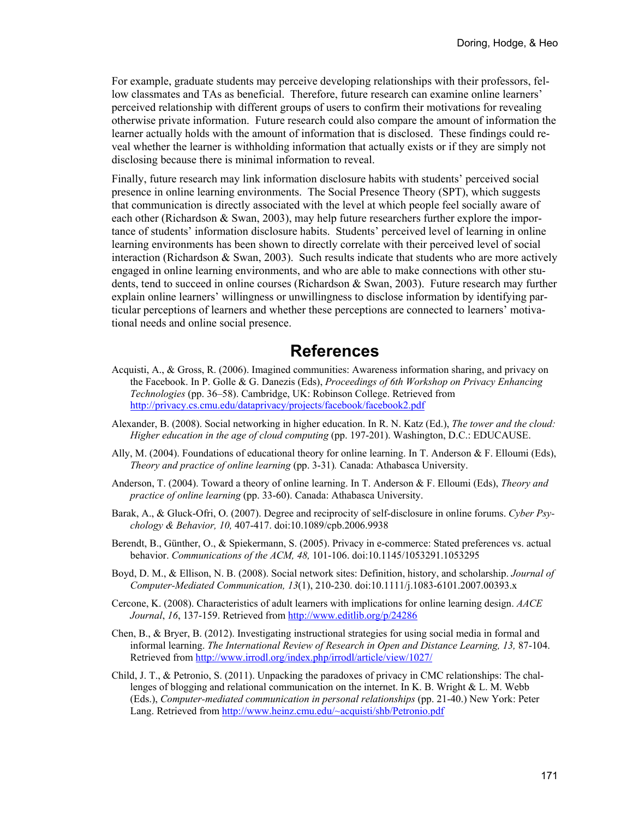For example, graduate students may perceive developing relationships with their professors, fellow classmates and TAs as beneficial. Therefore, future research can examine online learners' perceived relationship with different groups of users to confirm their motivations for revealing otherwise private information. Future research could also compare the amount of information the learner actually holds with the amount of information that is disclosed. These findings could reveal whether the learner is withholding information that actually exists or if they are simply not disclosing because there is minimal information to reveal.

Finally, future research may link information disclosure habits with students' perceived social presence in online learning environments. The Social Presence Theory (SPT), which suggests that communication is directly associated with the level at which people feel socially aware of each other (Richardson & Swan, 2003), may help future researchers further explore the importance of students' information disclosure habits. Students' perceived level of learning in online learning environments has been shown to directly correlate with their perceived level of social interaction (Richardson  $\&$  Swan, 2003). Such results indicate that students who are more actively engaged in online learning environments, and who are able to make connections with other students, tend to succeed in online courses (Richardson & Swan, 2003). Future research may further explain online learners' willingness or unwillingness to disclose information by identifying particular perceptions of learners and whether these perceptions are connected to learners' motivational needs and online social presence.

#### **References**

- Acquisti, A., & Gross, R. (2006). Imagined communities: Awareness information sharing, and privacy on the Facebook. In P. Golle & G. Danezis (Eds), *Proceedings of 6th Workshop on Privacy Enhancing Technologies* (pp. 36–58). Cambridge, UK: Robinson College. Retrieved from <http://privacy.cs.cmu.edu/dataprivacy/projects/facebook/facebook2.pdf>
- Alexander, B. (2008). Social networking in higher education. In R. N. Katz (Ed.), *The tower and the cloud: Higher education in the age of cloud computing* (pp. 197-201). Washington, D.C.: EDUCAUSE.
- Ally, M. (2004). Foundations of educational theory for online learning. In T. Anderson & F. Elloumi (Eds), *Theory and practice of online learning* (pp. 3-31)*.* Canada: Athabasca University.
- Anderson, T. (2004). Toward a theory of online learning. In T. Anderson & F. Elloumi (Eds), *Theory and practice of online learning* (pp. 33-60). Canada: Athabasca University.
- Barak, A., & Gluck-Ofri, O. (2007). Degree and reciprocity of self-disclosure in online forums. *Cyber Psychology & Behavior, 10,* 407-417. doi:10.1089/cpb.2006.9938
- Berendt, B., Günther, O., & Spiekermann, S. (2005). Privacy in e-commerce: Stated preferences vs. actual behavior. *Communications of the ACM, 48,* 101-106. doi:10.1145/1053291.1053295
- Boyd, D. M., & Ellison, N. B. (2008). Social network sites: Definition, history, and scholarship. *Journal of Computer-Mediated Communication, 13*(1), 210-230. doi:10.1111/j.1083-6101.2007.00393.x
- Cercone, K. (2008). Characteristics of adult learners with implications for online learning design. *AACE Journal*, *16*, 137-159. Retrieved from <http://www.editlib.org/p/24286>
- Chen, B., & Bryer, B. (2012). Investigating instructional strategies for using social media in formal and informal learning. *The International Review of Research in Open and Distance Learning, 13,* 87-104. Retrieved from<http://www.irrodl.org/index.php/irrodl/article/view/1027/>
- Child, J. T., & Petronio, S. (2011). Unpacking the paradoxes of privacy in CMC relationships: The challenges of blogging and relational communication on the internet. In K. B. Wright & L. M. Webb (Eds.), *Computer-mediated communication in personal relationships* (pp. 21-40.) New York: Peter Lang. Retrieved from http://www.heinz.cmu.edu/~acquisti/shb/Petronio.pdf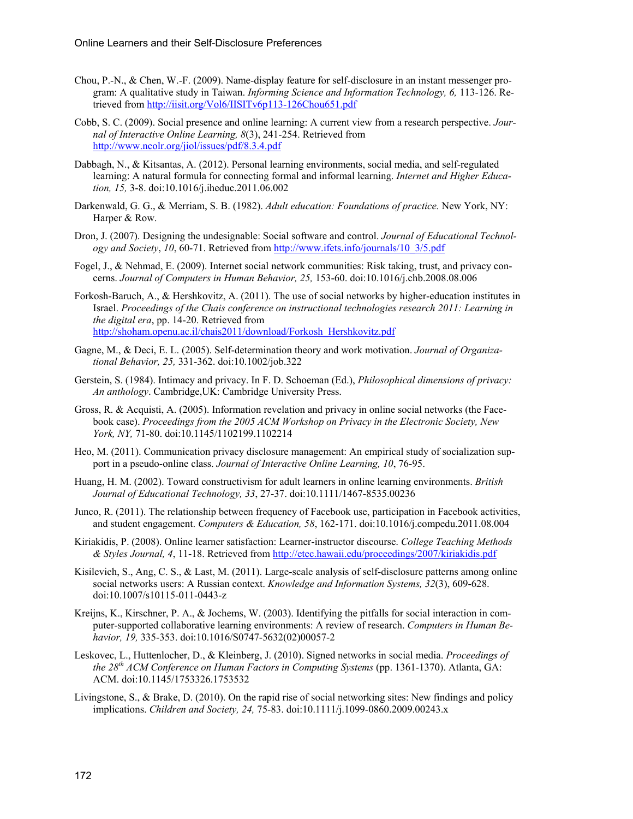- Chou, P.-N., & Chen, W.-F. (2009). Name-display feature for self-disclosure in an instant messenger program: A qualitative study in Taiwan. *Informing Science and Information Technology, 6,* 113-126. Retrieved from<http://iisit.org/Vol6/IISITv6p113-126Chou651.pdf>
- Cobb, S. C. (2009). Social presence and online learning: A current view from a research perspective. *Journal of Interactive Online Learning, 8*(3), 241-254. Retrieved from <http://www.ncolr.org/jiol/issues/pdf/8.3.4.pdf>
- Dabbagh, N., & Kitsantas, A. (2012). Personal learning environments, social media, and self-regulated learning: A natural formula for connecting formal and informal learning. *Internet and Higher Education, 15,* 3-8. doi:10.1016/j.iheduc.2011.06.002
- Darkenwald, G. G., & Merriam, S. B. (1982). *Adult education: Foundations of practice.* New York, NY: Harper & Row.
- Dron, J. (2007). Designing the undesignable: Social software and control. *Journal of Educational Technology and Society*, *10*, 60-71. Retrieved from [http://www.ifets.info/journals/10\\_3/5.pdf](http://www.ifets.info/journals/10_3/5.pdf)
- Fogel, J., & Nehmad, E. (2009). Internet social network communities: Risk taking, trust, and privacy concerns. *Journal of Computers in Human Behavior, 25,* 153-60. doi:10.1016/j.chb.2008.08.006
- Forkosh-Baruch, A., & Hershkovitz, A. (2011). The use of social networks by higher-education institutes in Israel. *Proceedings of the Chais conference on instructional technologies research 2011: Learning in the digital era*, pp. 14-20. Retrieved from [http://shoham.openu.ac.il/chais2011/download/Forkosh\\_Hershkovitz.pdf](http://shoham.openu.ac.il/chais2011/download/Forkosh_Hershkovitz.pdf)
- Gagne, M., & Deci, E. L. (2005). Self-determination theory and work motivation. *Journal of Organizational Behavior, 25,* 331-362. doi:10.1002/job.322
- Gerstein, S. (1984). Intimacy and privacy. In F. D. Schoeman (Ed.), *Philosophical dimensions of privacy: An anthology*. Cambridge,UK: Cambridge University Press.
- Gross, R. & Acquisti, A. (2005). Information revelation and privacy in online social networks (the Facebook case). *Proceedings from the 2005 ACM Workshop on Privacy in the Electronic Society, New York, NY,* 71-80. doi:10.1145/1102199.1102214
- Heo, M. (2011). Communication privacy disclosure management: An empirical study of socialization support in a pseudo-online class. *Journal of Interactive Online Learning, 10*, 76-95.
- Huang, H. M. (2002). Toward constructivism for adult learners in online learning environments. *British Journal of Educational Technology, 33*, 27-37. doi:10.1111/1467-8535.00236
- Junco, R. (2011). The relationship between frequency of Facebook use, participation in Facebook activities, and student engagement. *Computers & Education, 58*, 162-171. doi:10.1016/j.compedu.2011.08.004
- Kiriakidis, P. (2008). Online learner satisfaction: Learner-instructor discourse. *College Teaching Methods & Styles Journal, 4*, 11-18. Retrieved from <http://etec.hawaii.edu/proceedings/2007/kiriakidis.pdf>
- Kisilevich, S., Ang, C. S., & Last, M. (2011). Large-scale analysis of self-disclosure patterns among online social networks users: A Russian context. *Knowledge and Information Systems, 32*(3), 609-628. doi:10.1007/s10115-011-0443-z
- Kreijns, K., Kirschner, P. A., & Jochems, W. (2003). Identifying the pitfalls for social interaction in computer-supported collaborative learning environments: A review of research. *Computers in Human Behavior, 19,* 335-353. doi:10.1016/S0747-5632(02)00057-2
- Leskovec, L., Huttenlocher, D., & Kleinberg, J. (2010). Signed networks in social media. *Proceedings of the 28th ACM Conference on Human Factors in Computing Systems* (pp. 1361-1370). Atlanta, GA: ACM. doi:10.1145/1753326.1753532
- Livingstone, S., & Brake, D. (2010). On the rapid rise of social networking sites: New findings and policy implications. *Children and Society, 24,* 75-83. doi:10.1111/j.1099-0860.2009.00243.x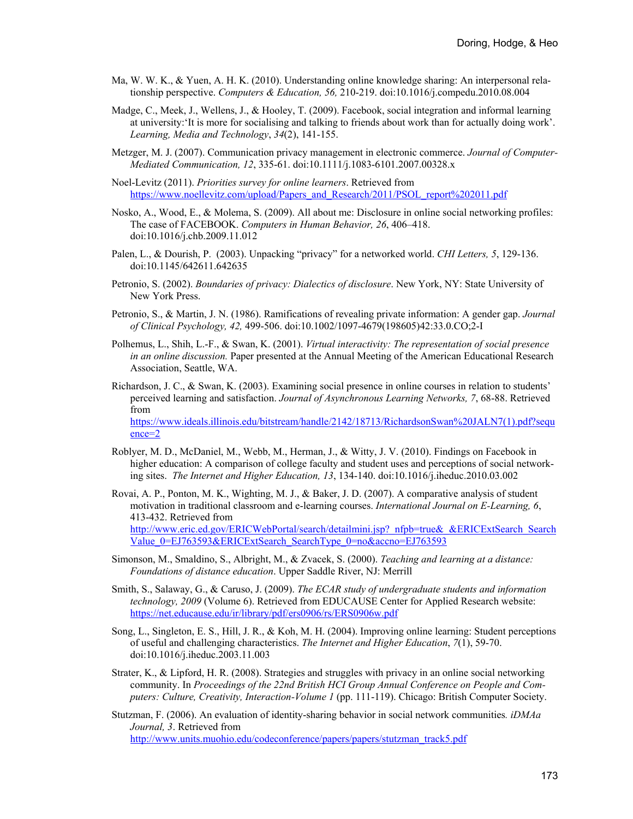- Ma, W. W. K., & Yuen, A. H. K. (2010). Understanding online knowledge sharing: An interpersonal relationship perspective. *Computers & Education, 56,* 210-219. doi:10.1016/j.compedu.2010.08.004
- Madge, C., Meek, J., Wellens, J., & Hooley, T. (2009). Facebook, social integration and informal learning at university:'It is more for socialising and talking to friends about work than for actually doing work'. *Learning, Media and Technology*, *34*(2), 141-155.
- Metzger, M. J. (2007). Communication privacy management in electronic commerce. *Journal of Computer-Mediated Communication, 12*, 335-61. doi:10.1111/j.1083-6101.2007.00328.x
- Noel-Levitz (2011). *Priorities survey for online learners*. Retrieved from https://www.noellevitz.com/upload/Papers\_and\_Research/2011/PSOL\_report%202011.pdf
- Nosko, A., Wood, E., & Molema, S. (2009). All about me: Disclosure in online social networking profiles: The case of FACEBOOK. *Computers in Human Behavior, 26*, 406–418. doi:10.1016/j.chb.2009.11.012
- Palen, L., & Dourish, P. (2003). Unpacking "privacy" for a networked world. *CHI Letters, 5*, 129-136. doi:10.1145/642611.642635
- Petronio, S. (2002). *Boundaries of privacy: Dialectics of disclosure*. New York, NY: State University of New York Press.
- Petronio, S., & Martin, J. N. (1986). Ramifications of revealing private information: A gender gap. *Journal of Clinical Psychology, 42,* 499-506. doi:10.1002/1097-4679(198605)42:33.0.CO;2-I
- Polhemus, L., Shih, L.-F., & Swan, K. (2001). *Virtual interactivity: The representation of social presence in an online discussion.* Paper presented at the Annual Meeting of the American Educational Research Association, Seattle, WA.
- Richardson, J. C., & Swan, K. (2003). Examining social presence in online courses in relation to students' perceived learning and satisfaction. *Journal of Asynchronous Learning Networks, 7*, 68-88. Retrieved from [https://www.ideals.illinois.edu/bitstream/handle/2142/18713/RichardsonSwan%20JALN7\(1\).pdf?sequ](https://www.ideals.illinois.edu/bitstream/handle/2142/18713/RichardsonSwan%20JALN7(1).pdf?sequence=2) [ence=2](https://www.ideals.illinois.edu/bitstream/handle/2142/18713/RichardsonSwan%20JALN7(1).pdf?sequence=2)
- Roblyer, M. D., McDaniel, M., Webb, M., Herman, J., & Witty, J. V. (2010). Findings on Facebook in higher education: A comparison of college faculty and student uses and perceptions of social networking sites. *The Internet and Higher Education, 13*, 134-140. doi:10.1016/j.iheduc.2010.03.002
- Rovai, A. P., Ponton, M. K., Wighting, M. J., & Baker, J. D. (2007). A comparative analysis of student motivation in traditional classroom and e-learning courses. *International Journal on E-Learning, 6*, 413-432. Retrieved from http://www.eric.ed.gov/ERICWebPortal/search/detailmini.jsp? nfpb=true& &ERICExtSearch Search [Value\\_0=EJ763593&ERICExtSearch\\_SearchType\\_0=no&accno=EJ763593](http://www.eric.ed.gov/ERICWebPortal/search/detailmini.jsp?_nfpb=true&_&ERICExtSearch_SearchValue_0=EJ763593&ERICExtSearch_SearchType_0=no&accno=EJ763593)
- Simonson, M., Smaldino, S., Albright, M., & Zvacek, S. (2000). *Teaching and learning at a distance: Foundations of distance education*. Upper Saddle River, NJ: Merrill
- Smith, S., Salaway, G., & Caruso, J. (2009). *The ECAR study of undergraduate students and information technology, 2009* (Volume 6). Retrieved from EDUCAUSE Center for Applied Research website: <https://net.educause.edu/ir/library/pdf/ers0906/rs/ERS0906w.pdf>
- Song, L., Singleton, E. S., Hill, J. R., & Koh, M. H. (2004). Improving online learning: Student perceptions of useful and challenging characteristics. *The Internet and Higher Education*, *7*(1), 59-70. doi:10.1016/j.iheduc.2003.11.003
- Strater, K., & Lipford, H. R. (2008). Strategies and struggles with privacy in an online social networking community. In *Proceedings of the 22nd British HCI Group Annual Conference on People and Computers: Culture, Creativity, Interaction-Volume 1* (pp. 111-119). Chicago: British Computer Society.
- Stutzman, F. (2006). An evaluation of identity-sharing behavior in social network communities*. iDMAa Journal, 3*. Retrieved from [http://www.units.muohio.edu/codeconference/papers/papers/stutzman\\_track5.pdf](http://www.units.muohio.edu/codeconference/papers/papers/stutzman_track5.pdf)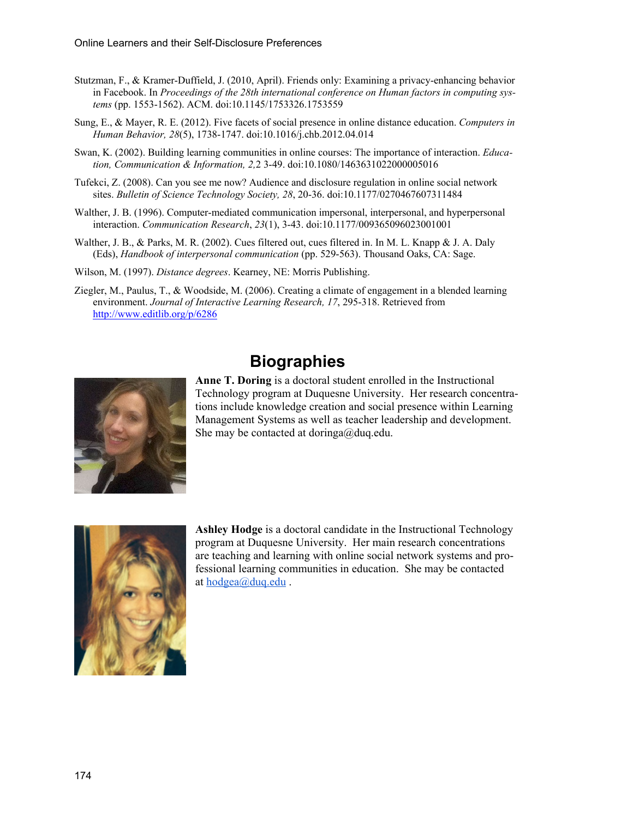- Stutzman, F., & Kramer-Duffield, J. (2010, April). Friends only: Examining a privacy-enhancing behavior in Facebook. In *Proceedings of the 28th international conference on Human factors in computing systems* (pp. 1553-1562). ACM. doi:10.1145/1753326.1753559
- Sung, E., & Mayer, R. E. (2012). Five facets of social presence in online distance education. *Computers in Human Behavior, 28*(5), 1738-1747. doi:10.1016/j.chb.2012.04.014
- Swan, K. (2002). Building learning communities in online courses: The importance of interaction. *Education, Communication & Information, 2,*2 3-49. doi:10.1080/1463631022000005016
- Tufekci, Z. (2008). Can you see me now? Audience and disclosure regulation in online social network sites. *Bulletin of Science Technology Society, 28*, 20-36. doi:10.1177/0270467607311484
- Walther, J. B. (1996). Computer-mediated communication impersonal, interpersonal, and hyperpersonal interaction. *Communication Research*, *23*(1), 3-43. doi:10.1177/009365096023001001
- Walther, J. B., & Parks, M. R. (2002). Cues filtered out, cues filtered in. In M. L. Knapp & J. A. Daly (Eds), *Handbook of interpersonal communication* (pp. 529-563). Thousand Oaks, CA: Sage.
- Wilson, M. (1997). *Distance degrees*. Kearney, NE: Morris Publishing.
- Ziegler, M., Paulus, T., & Woodside, M. (2006). Creating a climate of engagement in a blended learning environment. *Journal of Interactive Learning Research, 17*, 295-318. Retrieved from <http://www.editlib.org/p/6286>



# **Biographies**

**Anne T. Doring** is a doctoral student enrolled in the Instructional Technology program at Duquesne University. Her research concentrations include knowledge creation and social presence within Learning Management Systems as well as teacher leadership and development. She may be contacted at doringa@duq.edu.



**Ashley Hodge** is a doctoral candidate in the Instructional Technology program at Duquesne University. Her main research concentrations are teaching and learning with online social network systems and professional learning communities in education. She may be contacted at [hodgea@duq.edu](mailto:hodgea@duq.edu) .